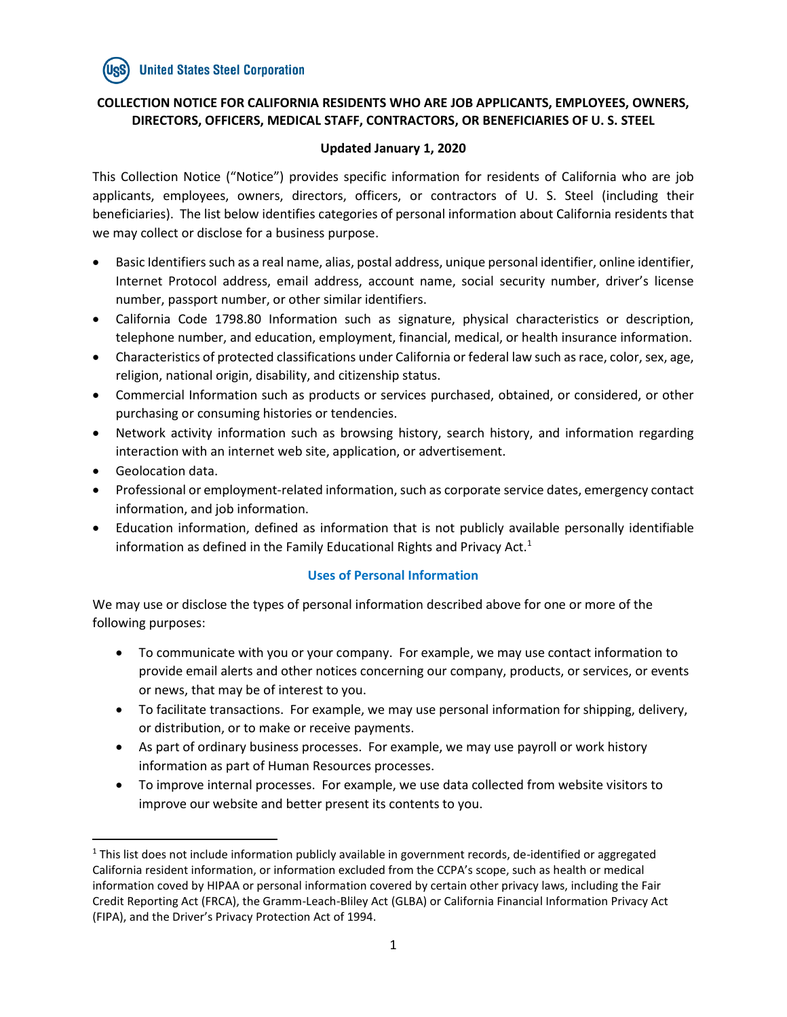# **COLLECTION NOTICE FOR CALIFORNIA RESIDENTS WHO ARE JOB APPLICANTS, EMPLOYEES, OWNERS, DIRECTORS, OFFICERS, MEDICAL STAFF, CONTRACTORS, OR BENEFICIARIES OF U. S. STEEL**

### **Updated January 1, 2020**

This Collection Notice ("Notice") provides specific information for residents of California who are job applicants, employees, owners, directors, officers, or contractors of U. S. Steel (including their beneficiaries). The list below identifies categories of personal information about California residents that we may collect or disclose for a business purpose.

- Basic Identifiers such as a real name, alias, postal address, unique personal identifier, online identifier, Internet Protocol address, email address, account name, social security number, driver's license number, passport number, or other similar identifiers.
- California Code 1798.80 Information such as signature, physical characteristics or description, telephone number, and education, employment, financial, medical, or health insurance information.
- Characteristics of protected classifications under California or federal law such as race, color, sex, age, religion, national origin, disability, and citizenship status.
- Commercial Information such as products or services purchased, obtained, or considered, or other purchasing or consuming histories or tendencies.
- Network activity information such as browsing history, search history, and information regarding interaction with an internet web site, application, or advertisement.
- Geolocation data.

 $\overline{\phantom{a}}$ 

- Professional or employment-related information, such as corporate service dates, emergency contact information, and job information.
- Education information, defined as information that is not publicly available personally identifiable information as defined in the Family Educational Rights and Privacy Act. $1$

# **Uses of Personal Information**

We may use or disclose the types of personal information described above for one or more of the following purposes:

- To communicate with you or your company. For example, we may use contact information to provide email alerts and other notices concerning our company, products, or services, or events or news, that may be of interest to you.
- To facilitate transactions. For example, we may use personal information for shipping, delivery, or distribution, or to make or receive payments.
- As part of ordinary business processes. For example, we may use payroll or work history information as part of Human Resources processes.
- To improve internal processes. For example, we use data collected from website visitors to improve our website and better present its contents to you.

 $1$  This list does not include information publicly available in government records, de-identified or aggregated California resident information, or information excluded from the CCPA's scope, such as health or medical information coved by HIPAA or personal information covered by certain other privacy laws, including the Fair Credit Reporting Act (FRCA), the Gramm-Leach-Bliley Act (GLBA) or California Financial Information Privacy Act (FIPA), and the Driver's Privacy Protection Act of 1994.